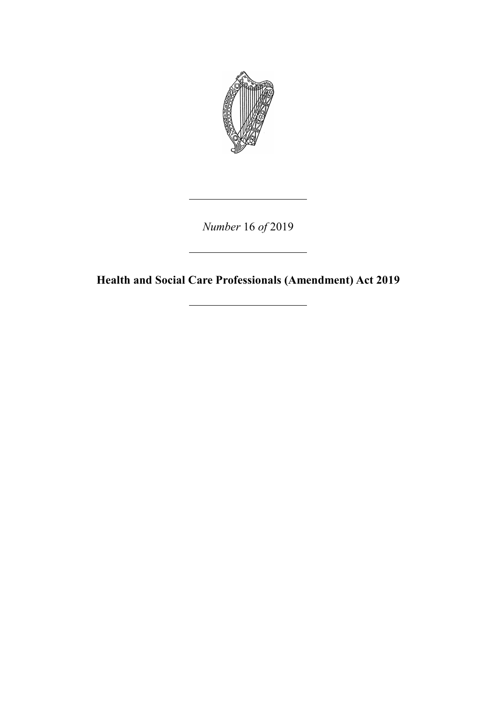

*Number* 16 *of* 2019

**Health and Social Care Professionals (Amendment) Act 2019**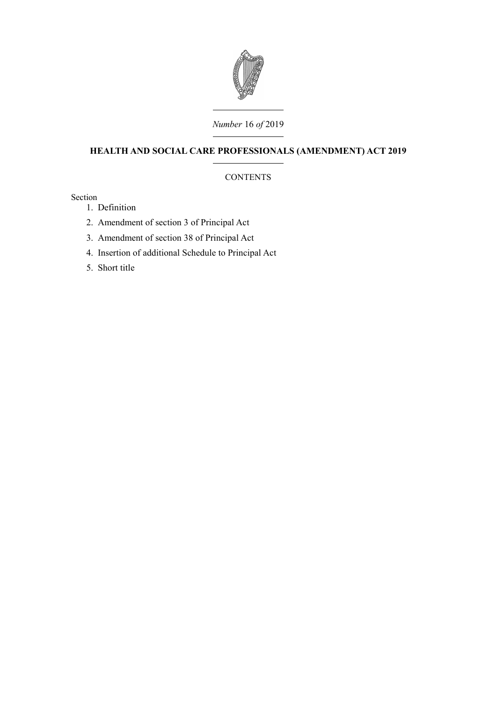

# *Number* 16 *of* 2019

# **HEALTH AND SOCIAL CARE PROFESSIONALS (AMENDMENT) ACT 2019**

## **CONTENTS**

Section

- 1. [Definition](#page-4-0)
- 2. [Amendment of section 3 of Principal Act](#page-4-2)
- 3. [Amendment of section 38 of Principal Act](#page-4-1)
- 4. [Insertion of additional Schedule to Principal Act](#page-6-1)
- 5. [Short title](#page-6-0)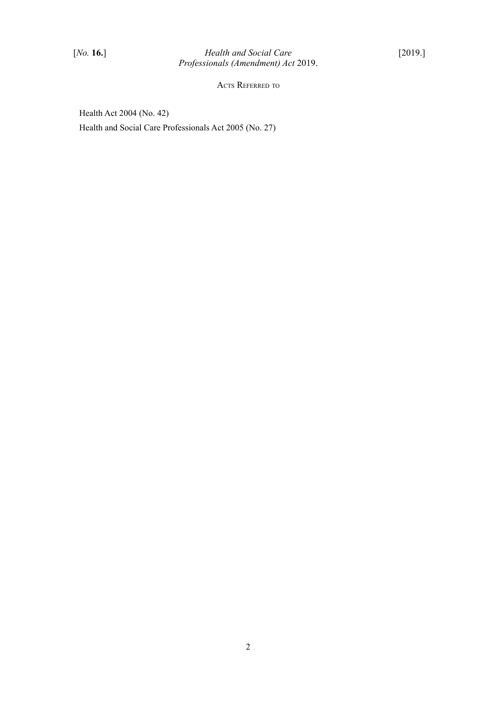ACTS REFERRED TO

Health Act 2004 (No. 42) Health and Social Care Professionals Act 2005 (No. 27)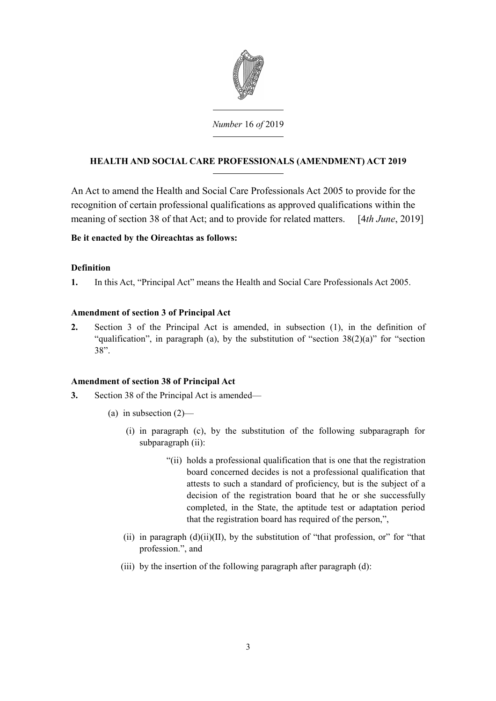

# *Number* 16 *of* 2019

# **HEALTH AND SOCIAL CARE PROFESSIONALS (AMENDMENT) ACT 2019**

An Act to amend the Health and Social Care Professionals Act 2005 to provide for the recognition of certain professional qualifications as approved qualifications within the meaning of section 38 of that Act; and to provide for related matters. [4*th June*, 2019]

## **Be it enacted by the Oireachtas as follows:**

## <span id="page-4-0"></span>**Definition**

**1.** In this Act, "Principal Act" means the Health and Social Care Professionals Act 2005.

## <span id="page-4-2"></span>**Amendment of section 3 of Principal Act**

**2.** Section 3 of the Principal Act is amended, in subsection (1), in the definition of "qualification", in paragraph (a), by the substitution of "section  $38(2)(a)$ " for "section 38".

# <span id="page-4-1"></span>**Amendment of section 38 of Principal Act**

- **3.** Section 38 of the Principal Act is amended—
	- (a) in subsection  $(2)$ 
		- (i) in paragraph (c), by the substitution of the following subparagraph for subparagraph (ii):
			- "(ii) holds a professional qualification that is one that the registration board concerned decides is not a professional qualification that attests to such a standard of proficiency, but is the subject of a decision of the registration board that he or she successfully completed, in the State, the aptitude test or adaptation period that the registration board has required of the person,",
		- (ii) in paragraph  $(d)(ii)(II)$ , by the substitution of "that profession, or" for "that profession.", and
		- (iii) by the insertion of the following paragraph after paragraph (d):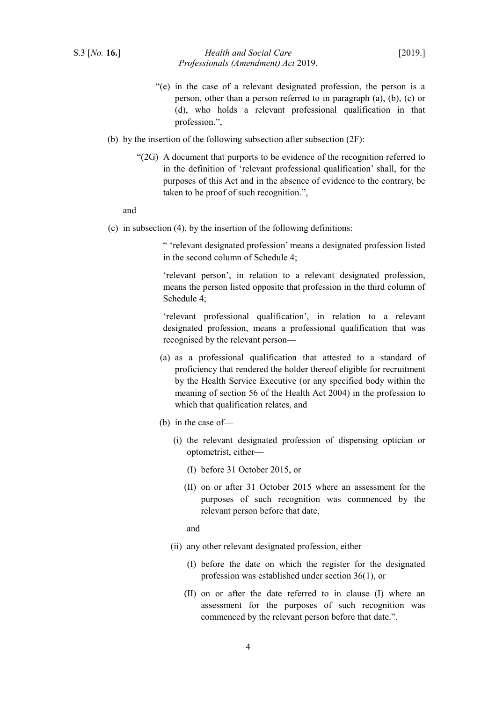#### S.3 [*No.* **16.**] *Health and Social Care* [2019.] *Professionals (Amendment) Act* 2019.

- "(e) in the case of a relevant designated profession, the person is a person, other than a person referred to in paragraph (a), (b), (c) or (d), who holds a relevant professional qualification in that profession.",
- (b) by the insertion of the following subsection after subsection (2F):
	- "(2G) A document that purports to be evidence of the recognition referred to in the definition of 'relevant professional qualification' shall, for the purposes of this Act and in the absence of evidence to the contrary, be taken to be proof of such recognition.",

and

(c) in subsection (4), by the insertion of the following definitions:

" 'relevant designated profession' means a designated profession listed in the second column of Schedule 4;

'relevant person', in relation to a relevant designated profession, means the person listed opposite that profession in the third column of Schedule 4;

'relevant professional qualification', in relation to a relevant designated profession, means a professional qualification that was recognised by the relevant person—

- (a) as a professional qualification that attested to a standard of proficiency that rendered the holder thereof eligible for recruitment by the Health Service Executive (or any specified body within the meaning of section 56 of the Health Act 2004) in the profession to which that qualification relates, and
- (b) in the case of—
	- (i) the relevant designated profession of dispensing optician or optometrist, either—
		- (I) before 31 October 2015, or
		- (II) on or after 31 October 2015 where an assessment for the purposes of such recognition was commenced by the relevant person before that date,

and

- (ii) any other relevant designated profession, either—
	- (I) before the date on which the register for the designated profession was established under section 36(1), or
	- (II) on or after the date referred to in clause (I) where an assessment for the purposes of such recognition was commenced by the relevant person before that date.".